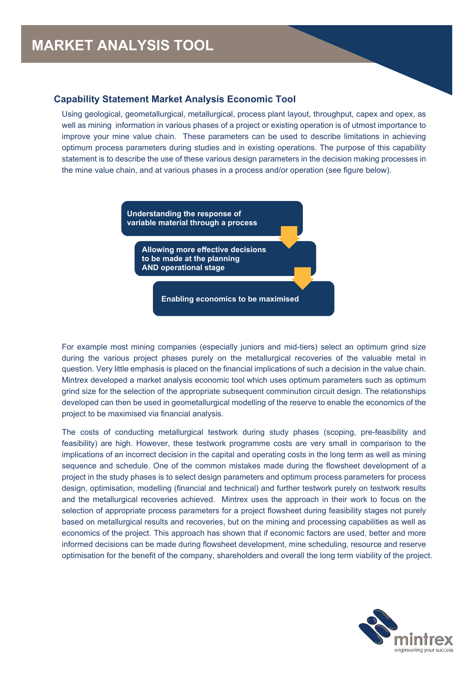## **Capability Statement Market Analysis Economic Tool**

Using geological, geometallurgical, metallurgical, process plant layout, throughput, capex and opex, as well as mining information in various phases of a project or existing operation is of utmost importance to improve your mine value chain. These parameters can be used to describe limitations in achieving optimum process parameters during studies and in existing operations. The purpose of this capability statement is to describe the use of these various design parameters in the decision making processes in the mine value chain, and at various phases in a process and/or operation (see figure below).

> **Understanding the response of variable material through a process**

**Allowing more effective decisions to be made at the planning AND operational stage**

**Enabling economics to be maximised**

For example most mining companies (especially juniors and mid-tiers) select an optimum grind size during the various project phases purely on the metallurgical recoveries of the valuable metal in question. Very little emphasis is placed on the financial implications of such a decision in the value chain. Mintrex developed a market analysis economic tool which uses optimum parameters such as optimum grind size for the selection of the appropriate subsequent comminution circuit design. The relationships developed can then be used in geometallurgical modelling of the reserve to enable the economics of the project to be maximised via financial analysis.

The costs of conducting metallurgical testwork during study phases (scoping, pre-feasibility and feasibility) are high. However, these testwork programme costs are very small in comparison to the implications of an incorrect decision in the capital and operating costs in the long term as well as mining sequence and schedule. One of the common mistakes made during the flowsheet development of a project in the study phases is to select design parameters and optimum process parameters for process design, optimisation, modelling (financial and technical) and further testwork purely on testwork results and the metallurgical recoveries achieved. Mintrex uses the approach in their work to focus on the selection of appropriate process parameters for a project flowsheet during feasibility stages not purely based on metallurgical results and recoveries, but on the mining and processing capabilities as well as economics of the project. This approach has shown that if economic factors are used, better and more informed decisions can be made during flowsheet development, mine scheduling, resource and reserve optimisation for the benefit of the company, shareholders and overall the long term viability of the project.

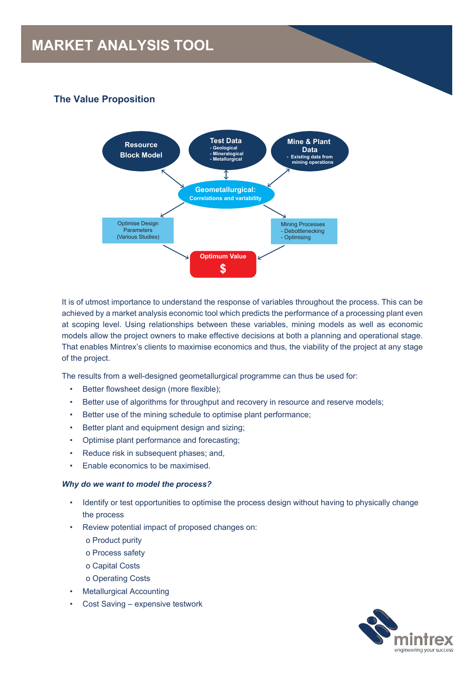# **MARKET ANALYSIS TOOL**

# **The Value Proposition**



It is of utmost importance to understand the response of variables throughout the process. This can be achieved by a market analysis economic tool which predicts the performance of a processing plant even at scoping level. Using relationships between these variables, mining models as well as economic models allow the project owners to make effective decisions at both a planning and operational stage. That enables Mintrex's clients to maximise economics and thus, the viability of the project at any stage of the project.

The results from a well-designed geometallurgical programme can thus be used for:

- Better flowsheet design (more flexible);
- Better use of algorithms for throughput and recovery in resource and reserve models;
- Better use of the mining schedule to optimise plant performance;
- Better plant and equipment design and sizing;
- Optimise plant performance and forecasting;
- Reduce risk in subsequent phases; and,
- Enable economics to be maximised.

#### *Why do we want to model the process?*

- Identify or test opportunities to optimise the process design without having to physically change the process
- Review potential impact of proposed changes on:
	- o Product purity
	- o Process safety
	- o Capital Costs
	- o Operating Costs
- **Metallurgical Accounting**
- Cost Saving expensive testwork